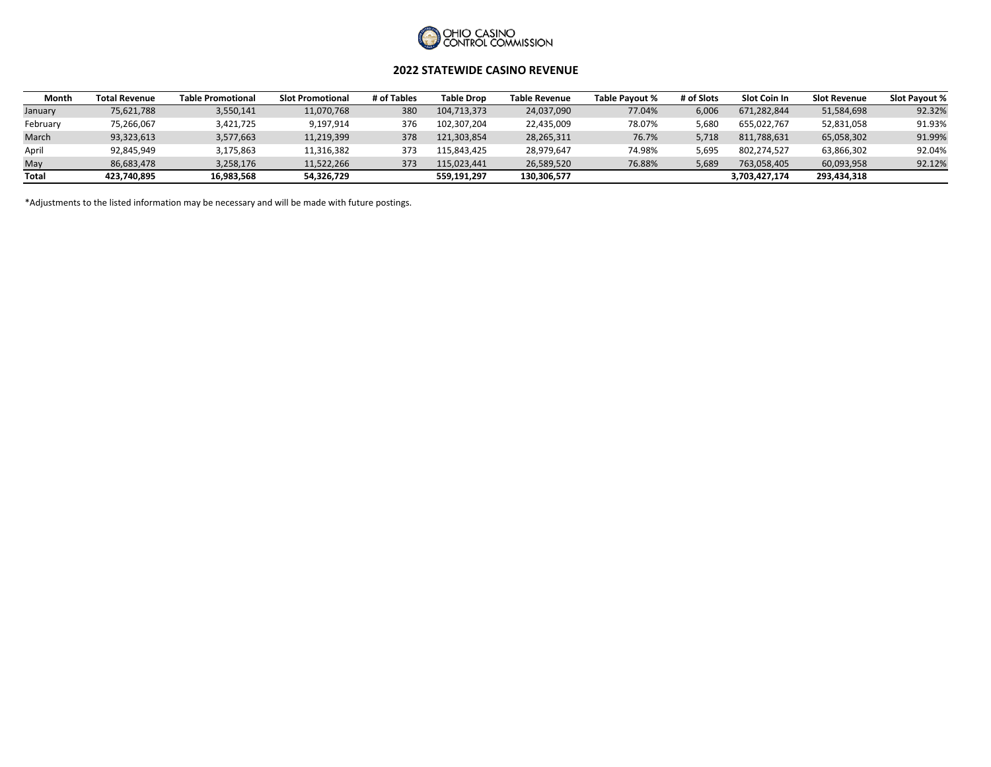

### **2022 STATEWIDE CASINO REVENUE**

| Month    | <b>Total Revenue</b> | <b>Table Promotional</b> | <b>Slot Promotional</b> | # of Tables | <b>Table Drop</b> | Table Revenue | Table Pavout % | # of Slots | <b>Slot Coin In</b> | <b>Slot Revenue</b> | Slot Pavout % |
|----------|----------------------|--------------------------|-------------------------|-------------|-------------------|---------------|----------------|------------|---------------------|---------------------|---------------|
| January  | 75,621,788           | 3,550,141                | 11,070,768              | 380         | 104,713,373       | 24,037,090    | 77.04%         | 6.006      | 671,282,844         | 51,584,698          | 92.32%        |
| February | 75,266,067           | 3,421,725                | 9,197,914               | 376         | 102.307.204       | 22,435,009    | 78.07%         | 5.680      | 655.022.767         | 52,831,058          | 91.93%        |
| March    | 93,323,613           | 3,577,663                | 11,219,399              | 378         | 121.303.854       | 28,265,311    | 76.7%          | 5.718      | 811,788,631         | 65,058,302          | 91.99%        |
| April    | 92,845,949           | 3,175,863                | 11,316,382              | 373         | 115.843.425       | 28,979,647    | 74.98%         | 5.695      | 802.274.527         | 63,866,302          | 92.04%        |
| May      | 86,683,478           | 3,258,176                | 11.522.266              | 373         | 115.023.441       | 26.589.520    | 76.88%         | 5.689      | 763.058.405         | 60.093.958          | 92.12%        |
| Total    | 423,740,895          | 16,983,568               | 54,326,729              |             | 559,191,297       | 130,306,577   |                |            | 3,703,427,174       | 293,434,318         |               |

\*Adjustments to the listed information may be necessary and will be made with future postings.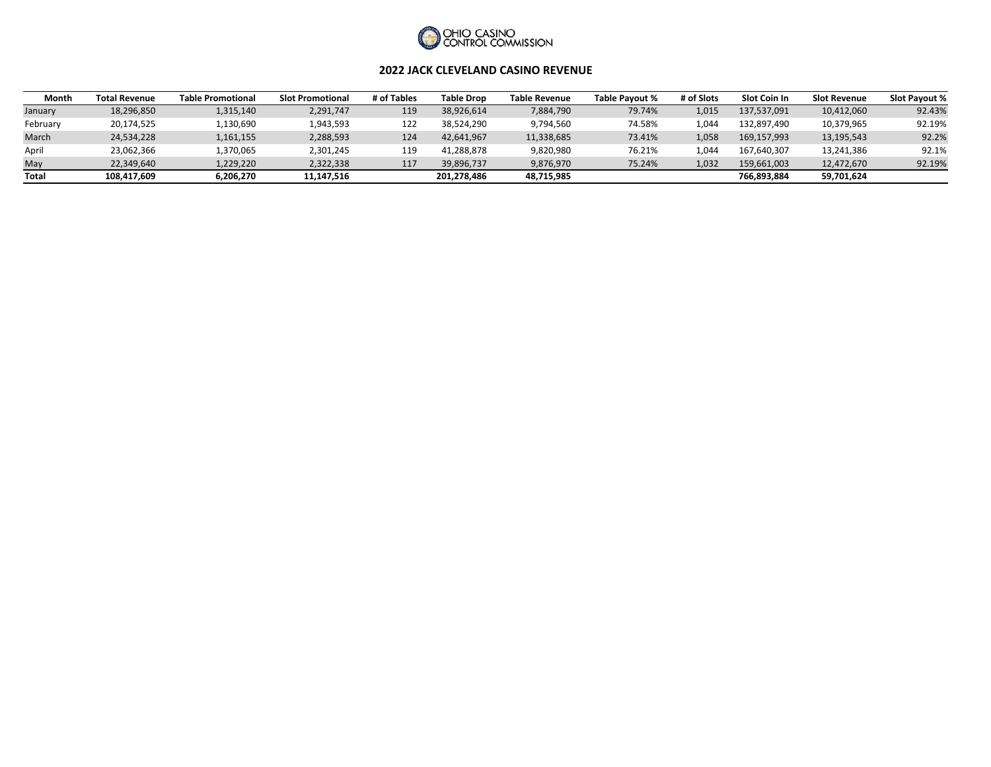

#### **2022 JACK CLEVELAND CASINO REVENUE**

| Month        | <b>Total Revenue</b> | <b>Table Promotional</b> | <b>Slot Promotional</b> | # of Tables | <b>Table Drop</b> | <b>Table Revenue</b> | Table Pavout % | # of Slots | Slot Coin In | <b>Slot Revenue</b> | Slot Pavout % |
|--------------|----------------------|--------------------------|-------------------------|-------------|-------------------|----------------------|----------------|------------|--------------|---------------------|---------------|
| January      | 18,296,850           | 1,315,140                | 2,291,747               | 119         | 38.926.614        | 7,884,790            | 79.74%         | L.015      | 137.537.091  | 10,412,060          | 92.43%        |
| February     | 20,174,525           | .,130,690                | 1,943,593               | 122         | 38,524,290        | 9,794,560            | 74.58%         | .044       | 132,897,490  | 10,379,965          | 92.19%        |
| March        | 24,534,228           | 1,161,155                | 2,288,593               | 124         | 42,641,967        | 11,338,685           | 73.41%         | 058        | 169.157.993  | 13,195,543          | 92.2%         |
| April        | 23,062,366           | L,370,065                | 2,301,245               | 119         | 41,288,878        | 9,820,980            | 76.21%         | .044       | 167.640.307  | 13,241,386          | 92.1%         |
| May          | 22,349,640           | 1,229,220                | 2,322,338               | 117         | 39,896,737        | 9,876,970            | 75.24%         | 1,032      | 159,661,003  | 12,472,670          | 92.19%        |
| <b>Total</b> | 108,417,609          | 6,206,270                | 11,147,516              |             | 201,278,486       | 48,715,985           |                |            | 766,893,884  | 59,701,624          |               |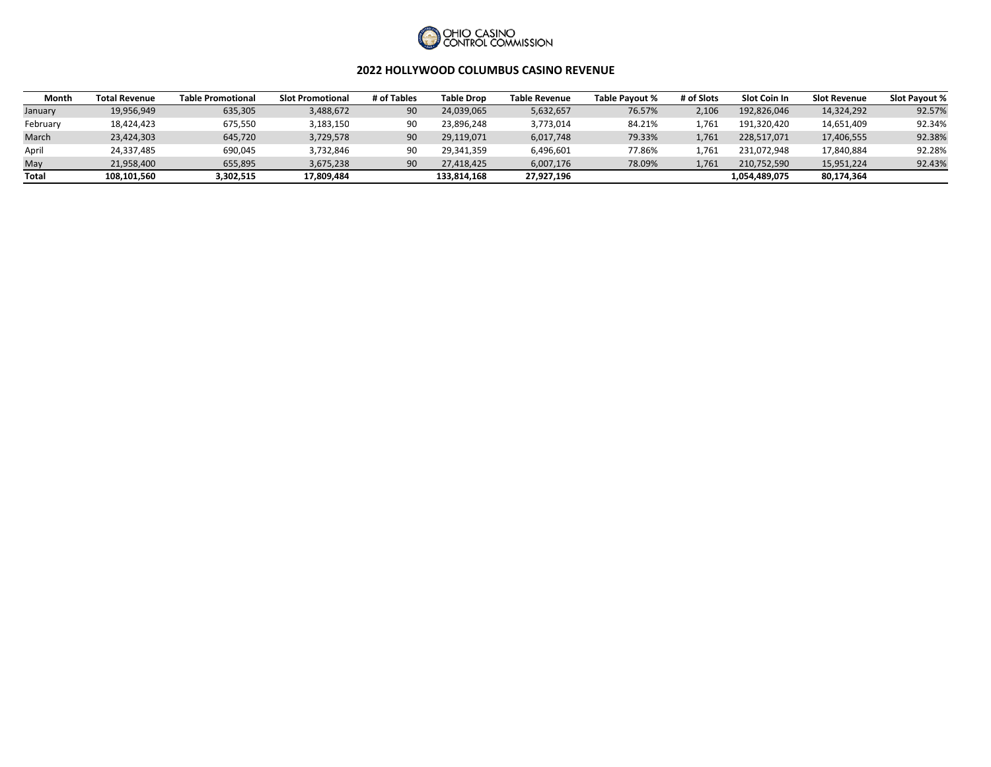

#### **2022 HOLLYWOOD COLUMBUS CASINO REVENUE**

| Month        | <b>Total Revenue</b> | <b>Table Promotional</b> | <b>Slot Promotional</b> | # of Tables | <b>Table Drop</b> | <b>Table Revenue</b> | Table Pavout % | # of Slots | Slot Coin In  | <b>Slot Revenue</b> | <b>Slot Pavout %</b> |
|--------------|----------------------|--------------------------|-------------------------|-------------|-------------------|----------------------|----------------|------------|---------------|---------------------|----------------------|
| January      | 19,956,949           | 635,305                  | 3,488,672               | 90          | 24.039.065        | 5,632,657            | 76.57%         | 2.106      | 192.826.046   | 14,324,292          | 92.57%               |
| February     | 18,424,423           | 675,550                  | 3,183,150               |             | 23,896,248        | 3,773,014            | 84.21%         | .761       | 191,320,420   | 14,651,409          | 92.34%               |
| March        | 23,424,303           | 645,720                  | 3,729,578               | 90          | 29,119,071        | 6,017,748            | 79.33%         | 761        | 228,517,071   | 17,406,555          | 92.38%               |
| April        | 24,337,485           | 690,045                  | 3,732,846               | 90          | 29.341.359        | 6,496,601            | 77.86%         | .761       | 231.072.948   | 17,840,884          | 92.28%               |
| May          | 21.958.400           | 655.895                  | 3.675.238               | 90          | 27.418.425        | 6.007.176            | 78.09%         | 761        | 210.752.590   | 15,951,224          | 92.43%               |
| <b>Total</b> | 108,101,560          | 3,302,515                | 17,809,484              |             | 133,814,168       | 27,927,196           |                |            | 1,054,489,075 | 80,174,364          |                      |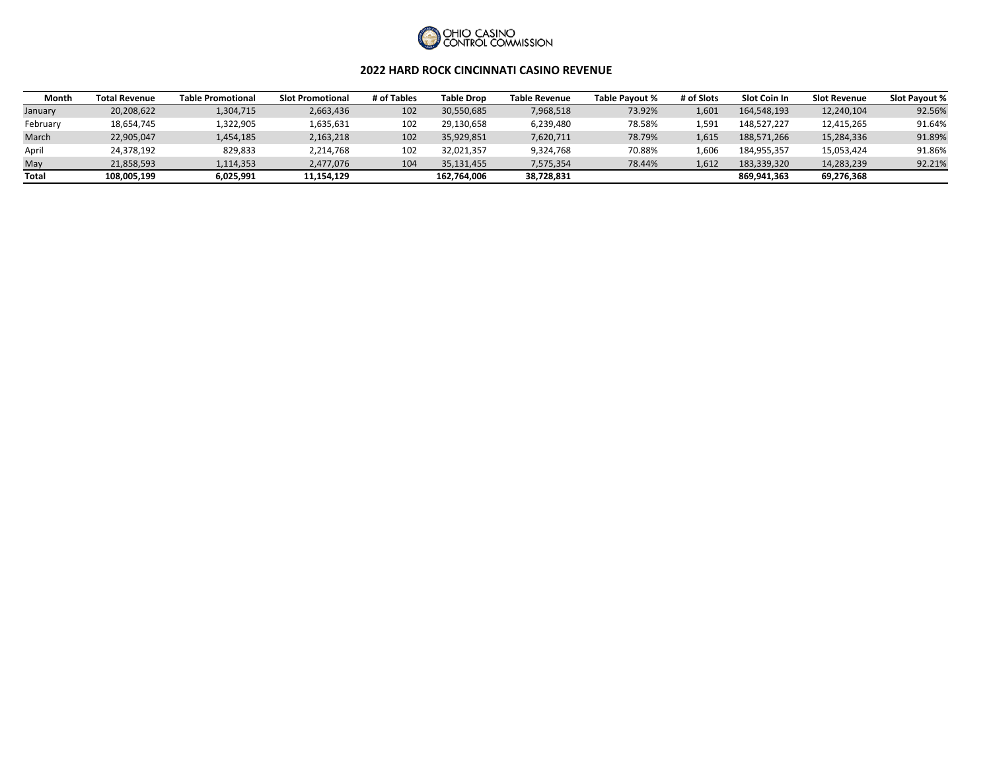

#### **2022 HARD ROCK CINCINNATI CASINO REVENUE**

| Month    | <b>Total Revenue</b> | <b>Table Promotional</b> | <b>Slot Promotional</b> | # of Tables | <b>Table Drop</b> | <b>Table Revenue</b> | Table Pavout % | # of Slots | <b>Slot Coin In</b> | <b>Slot Revenue</b> | <b>Slot Pavout %</b> |
|----------|----------------------|--------------------------|-------------------------|-------------|-------------------|----------------------|----------------|------------|---------------------|---------------------|----------------------|
| January  | 20,208,622           | 1,304,715                | 2,663,436               | 102         | 30,550,685        | 7,968,518            | 73.92%         | 601        | 164,548,193         | 12,240,104          | 92.56%               |
| February | 18,654,745           | L,322,905                | 1,635,631               | 102         | 29,130,658        | 6,239,480            | 78.58%         | 591.ء      | 148,527,227         | 12,415,265          | 91.64%               |
| March    | 22,905,047           | 1,454,185                | 2,163,218               | 102         | 35,929,851        | 7,620,711            | 78.79%         | 1.615      | 188.571.266         | 15,284,336          | 91.89%               |
| April    | 24,378,192           | 829,833                  | 2,214,768               | 102         | 32,021,357        | 9,324,768            | 70.88%         | 60۴        | 184,955,357         | 15,053,424          | 91.86%               |
| May      | 21,858,593           | 1,114,353                | 2,477,076               | 104         | 35.131.455        | 7,575,354            | 78.44%         | l.612      | 183,339,320         | 14,283,239          | 92.21%               |
| Total    | 108,005,199          | 6,025,991                | 11,154,129              |             | 162.764.006       | 38,728,831           |                |            | 869,941,363         | 69,276,368          |                      |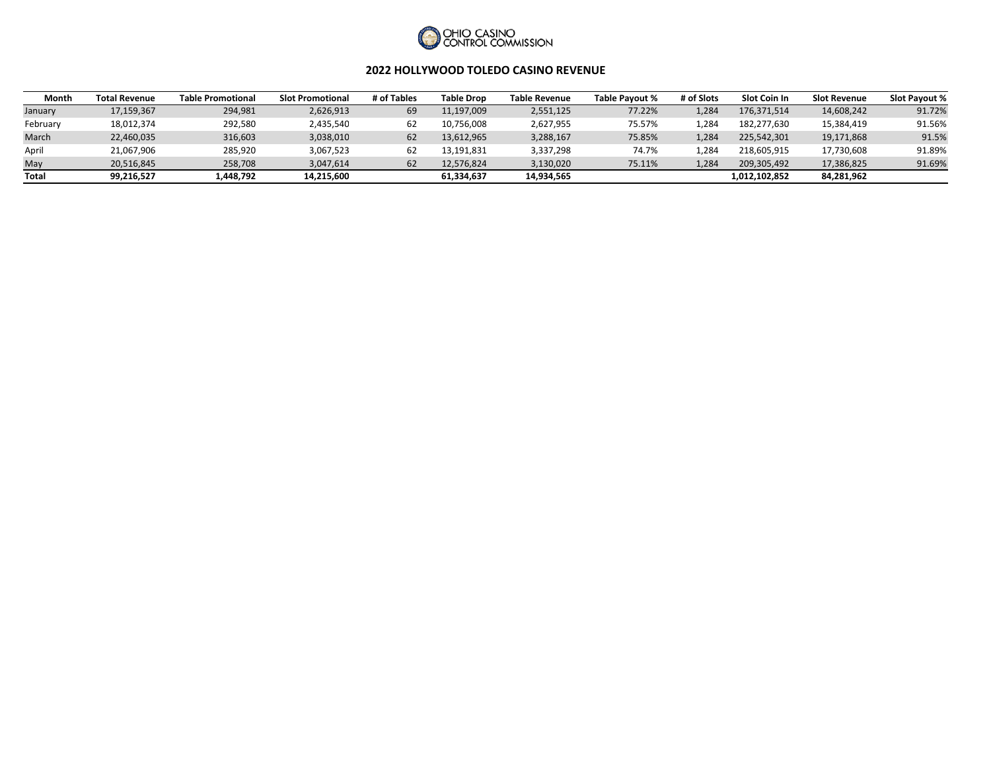

## **2022 HOLLYWOOD TOLEDO CASINO REVENUE**

| Month        | <b>Total Revenue</b> | <b>Table Promotional</b> | <b>Slot Promotional</b> | # of Tables | <b>Table Drop</b> | <b>Table Revenue</b> | Table Pavout % | # of Slots | Slot Coin In  | <b>Slot Revenue</b> | <b>Slot Pavout %</b> |
|--------------|----------------------|--------------------------|-------------------------|-------------|-------------------|----------------------|----------------|------------|---------------|---------------------|----------------------|
| January      | 17,159,367           | 294,981                  | 2,626,913               | 69          | 11,197,009        | 2,551,125            | 77.22%         | 1.284      | 176.371.514   | 14,608,242          | 91.72%               |
| February     | 18,012,374           | 292,580                  | 2,435,540               |             | 10,756,008        | 2,627,955            | 75.57%         | .284       | 182,277,630   | 15,384,419          | 91.56%               |
| March        | 22,460,035           | 316,603                  | 3,038,010               |             | 13,612,965        | 3,288,167            | 75.85%         | 1.284      | 225,542,301   | 19,171,868          | 91.5%                |
| April        | 21,067,906           | 285,920                  | 3,067,523               |             | 13,191,831        | 3,337,298            | 74.7%          | 284        | 218,605,915   | 17,730,608          | 91.89%               |
| May          | 20,516,845           | 258,708                  | 3,047,614               |             | 12.576.824        | 3,130,020            | 75.11%         | 1.284      | 209,305,492   | 17,386,825          | 91.69%               |
| <b>Total</b> | 99,216,527           | 1,448,792                | 14,215,600              |             | 61,334,637        | 14,934,565           |                |            | 1,012,102,852 | 84,281,962          |                      |